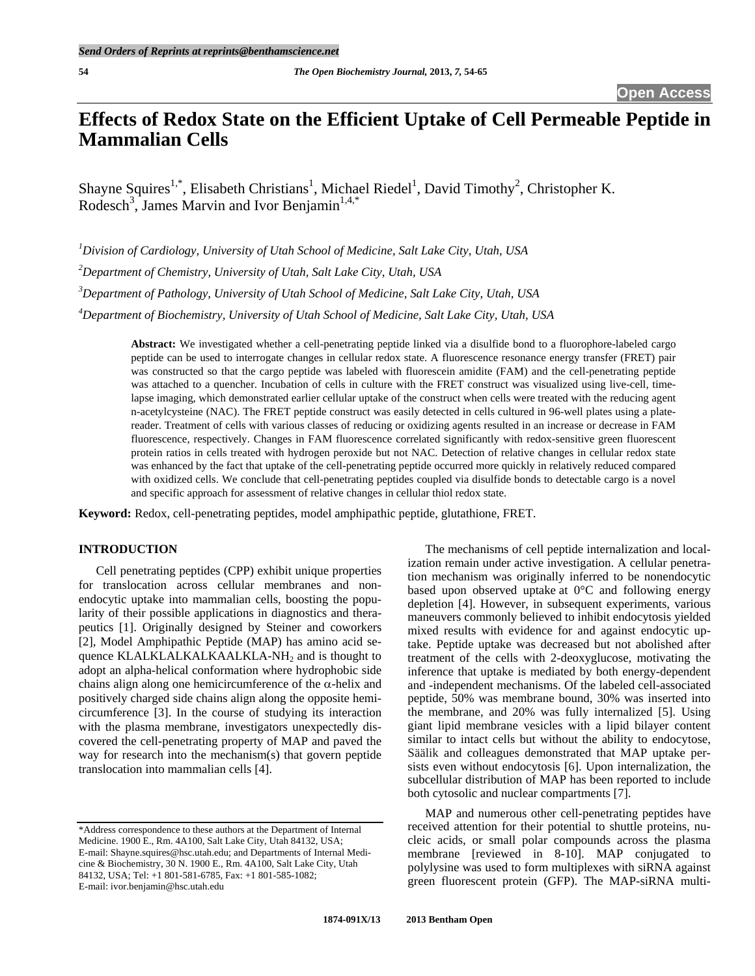# **Effects of Redox State on the Efficient Uptake of Cell Permeable Peptide in Mammalian Cells**

Shayne Squires<sup>1,\*</sup>, Elisabeth Christians<sup>1</sup>, Michael Riedel<sup>1</sup>, David Timothy<sup>2</sup>, Christopher K. Rodesch<sup>3</sup>, James Marvin and Ivor Benjamin<sup>1,4,\*</sup>

 *Division of Cardiology, University of Utah School of Medicine, Salt Lake City, Utah, USA Department of Chemistry, University of Utah, Salt Lake City, Utah, USA Department of Pathology, University of Utah School of Medicine, Salt Lake City, Utah, USA Department of Biochemistry, University of Utah School of Medicine, Salt Lake City, Utah, USA* 

> **Abstract:** We investigated whether a cell-penetrating peptide linked via a disulfide bond to a fluorophore-labeled cargo peptide can be used to interrogate changes in cellular redox state. A fluorescence resonance energy transfer (FRET) pair was constructed so that the cargo peptide was labeled with fluorescein amidite (FAM) and the cell-penetrating peptide was attached to a quencher. Incubation of cells in culture with the FRET construct was visualized using live-cell, timelapse imaging, which demonstrated earlier cellular uptake of the construct when cells were treated with the reducing agent n-acetylcysteine (NAC). The FRET peptide construct was easily detected in cells cultured in 96-well plates using a platereader. Treatment of cells with various classes of reducing or oxidizing agents resulted in an increase or decrease in FAM fluorescence, respectively. Changes in FAM fluorescence correlated significantly with redox-sensitive green fluorescent protein ratios in cells treated with hydrogen peroxide but not NAC. Detection of relative changes in cellular redox state was enhanced by the fact that uptake of the cell-penetrating peptide occurred more quickly in relatively reduced compared with oxidized cells. We conclude that cell-penetrating peptides coupled via disulfide bonds to detectable cargo is a novel and specific approach for assessment of relative changes in cellular thiol redox state.

**Keyword:** Redox, cell-penetrating peptides, model amphipathic peptide, glutathione, FRET.

# **INTRODUCTION**

 Cell penetrating peptides (CPP) exhibit unique properties for translocation across cellular membranes and nonendocytic uptake into mammalian cells, boosting the popularity of their possible applications in diagnostics and therapeutics [1]. Originally designed by Steiner and coworkers [2], Model Amphipathic Peptide (MAP) has amino acid sequence KLALKLALKALKAALKLA-NH<sub>2</sub> and is thought to adopt an alpha-helical conformation where hydrophobic side chains align along one hemicircumference of the  $\alpha$ -helix and positively charged side chains align along the opposite hemicircumference [3]. In the course of studying its interaction with the plasma membrane, investigators unexpectedly discovered the cell-penetrating property of MAP and paved the way for research into the mechanism(s) that govern peptide translocation into mammalian cells [4].

 The mechanisms of cell peptide internalization and localization remain under active investigation. A cellular penetration mechanism was originally inferred to be nonendocytic based upon observed uptake at 0°C and following energy depletion [4]. However, in subsequent experiments, various maneuvers commonly believed to inhibit endocytosis yielded mixed results with evidence for and against endocytic uptake. Peptide uptake was decreased but not abolished after treatment of the cells with 2-deoxyglucose, motivating the inference that uptake is mediated by both energy-dependent and -independent mechanisms. Of the labeled cell-associated peptide, 50% was membrane bound, 30% was inserted into the membrane, and 20% was fully internalized [5]. Using giant lipid membrane vesicles with a lipid bilayer content similar to intact cells but without the ability to endocytose, Säälik and colleagues demonstrated that MAP uptake persists even without endocytosis [6]. Upon internalization, the subcellular distribution of MAP has been reported to include both cytosolic and nuclear compartments [7].

 MAP and numerous other cell-penetrating peptides have received attention for their potential to shuttle proteins, nucleic acids, or small polar compounds across the plasma membrane [reviewed in 8-10]. MAP conjugated to polylysine was used to form multiplexes with siRNA against green fluorescent protein (GFP). The MAP-siRNA multi-

<sup>\*</sup>Address correspondence to these authors at the Department of Internal Medicine. 1900 E., Rm. 4A100, Salt Lake City, Utah 84132, USA; E-mail: Shayne.squires@hsc.utah.edu; and Departments of Internal Medicine & Biochemistry, 30 N. 1900 E., Rm. 4A100, Salt Lake City, Utah 84132, USA; Tel: +1 801-581-6785, Fax: +1 801-585-1082; E-mail: ivor.benjamin@hsc.utah.edu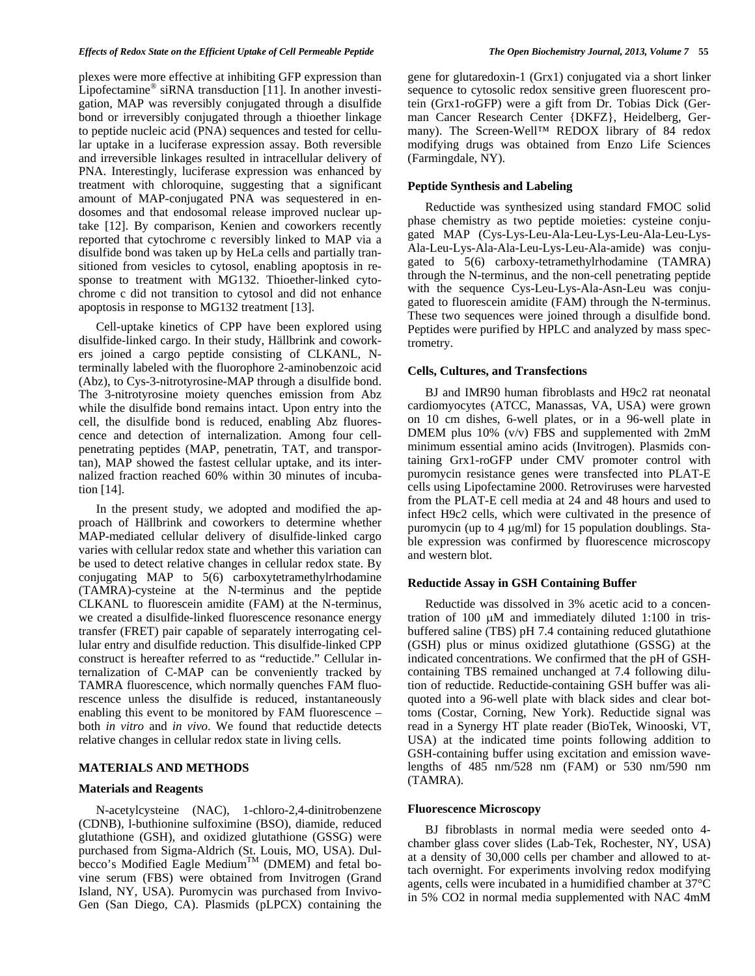# *Effects of Redox State on the Efficient Uptake of Cell Permeable Peptide The Open Biochemistry Journal, 2013, Volume 7* **55**

plexes were more effective at inhibiting GFP expression than Lipofectamine® siRNA transduction [11]. In another investigation, MAP was reversibly conjugated through a disulfide bond or irreversibly conjugated through a thioether linkage to peptide nucleic acid (PNA) sequences and tested for cellular uptake in a luciferase expression assay. Both reversible and irreversible linkages resulted in intracellular delivery of PNA. Interestingly, luciferase expression was enhanced by treatment with chloroquine, suggesting that a significant amount of MAP-conjugated PNA was sequestered in endosomes and that endosomal release improved nuclear uptake [12]. By comparison, Kenien and coworkers recently reported that cytochrome c reversibly linked to MAP via a disulfide bond was taken up by HeLa cells and partially transitioned from vesicles to cytosol, enabling apoptosis in response to treatment with MG132. Thioether-linked cytochrome c did not transition to cytosol and did not enhance apoptosis in response to MG132 treatment [13].

 Cell-uptake kinetics of CPP have been explored using disulfide-linked cargo. In their study, Hällbrink and coworkers joined a cargo peptide consisting of CLKANL, Nterminally labeled with the fluorophore 2-aminobenzoic acid (Abz), to Cys-3-nitrotyrosine-MAP through a disulfide bond. The 3-nitrotyrosine moiety quenches emission from Abz while the disulfide bond remains intact. Upon entry into the cell, the disulfide bond is reduced, enabling Abz fluorescence and detection of internalization. Among four cellpenetrating peptides (MAP, penetratin, TAT, and transportan), MAP showed the fastest cellular uptake, and its internalized fraction reached 60% within 30 minutes of incubation [14].

 In the present study, we adopted and modified the approach of Hällbrink and coworkers to determine whether MAP-mediated cellular delivery of disulfide-linked cargo varies with cellular redox state and whether this variation can be used to detect relative changes in cellular redox state. By conjugating MAP to 5(6) carboxytetramethylrhodamine (TAMRA)-cysteine at the N-terminus and the peptide CLKANL to fluorescein amidite (FAM) at the N-terminus, we created a disulfide-linked fluorescence resonance energy transfer (FRET) pair capable of separately interrogating cellular entry and disulfide reduction. This disulfide-linked CPP construct is hereafter referred to as "reductide." Cellular internalization of C-MAP can be conveniently tracked by TAMRA fluorescence, which normally quenches FAM fluorescence unless the disulfide is reduced, instantaneously enabling this event to be monitored by FAM fluorescence – both *in vitro* and *in vivo*. We found that reductide detects relative changes in cellular redox state in living cells.

# **MATERIALS AND METHODS**

#### **Materials and Reagents**

 N-acetylcysteine (NAC), 1-chloro-2,4-dinitrobenzene (CDNB), l-buthionine sulfoximine (BSO), diamide, reduced glutathione (GSH), and oxidized glutathione (GSSG) were purchased from Sigma-Aldrich (St. Louis, MO, USA). Dulbecco's Modified Eagle Medium<sup>TM</sup> (DMEM) and fetal bovine serum (FBS) were obtained from Invitrogen (Grand Island, NY, USA). Puromycin was purchased from Invivo-Gen (San Diego, CA). Plasmids (pLPCX) containing the gene for glutaredoxin-1 (Grx1) conjugated via a short linker sequence to cytosolic redox sensitive green fluorescent protein (Grx1-roGFP) were a gift from Dr. Tobias Dick (German Cancer Research Center {DKFZ}, Heidelberg, Germany). The Screen-Well™ REDOX library of 84 redox modifying drugs was obtained from Enzo Life Sciences (Farmingdale, NY).

# **Peptide Synthesis and Labeling**

 Reductide was synthesized using standard FMOC solid phase chemistry as two peptide moieties: cysteine conjugated MAP (Cys-Lys-Leu-Ala-Leu-Lys-Leu-Ala-Leu-Lys-Ala-Leu-Lys-Ala-Ala-Leu-Lys-Leu-Ala-amide) was conjugated to 5(6) carboxy-tetramethylrhodamine (TAMRA) through the N-terminus, and the non-cell penetrating peptide with the sequence Cys-Leu-Lys-Ala-Asn-Leu was conjugated to fluorescein amidite (FAM) through the N-terminus. These two sequences were joined through a disulfide bond. Peptides were purified by HPLC and analyzed by mass spectrometry.

# **Cells, Cultures, and Transfections**

 BJ and IMR90 human fibroblasts and H9c2 rat neonatal cardiomyocytes (ATCC, Manassas, VA, USA) were grown on 10 cm dishes, 6-well plates, or in a 96-well plate in DMEM plus 10% (v/v) FBS and supplemented with 2mM minimum essential amino acids (Invitrogen). Plasmids containing Grx1-roGFP under CMV promoter control with puromycin resistance genes were transfected into PLAT-E cells using Lipofectamine 2000. Retroviruses were harvested from the PLAT-E cell media at 24 and 48 hours and used to infect H9c2 cells, which were cultivated in the presence of puromycin (up to 4  $\mu$ g/ml) for 15 population doublings. Stable expression was confirmed by fluorescence microscopy and western blot.

# **Reductide Assay in GSH Containing Buffer**

 Reductide was dissolved in 3% acetic acid to a concentration of  $100 \mu M$  and immediately diluted 1:100 in trisbuffered saline (TBS) pH 7.4 containing reduced glutathione (GSH) plus or minus oxidized glutathione (GSSG) at the indicated concentrations. We confirmed that the pH of GSHcontaining TBS remained unchanged at 7.4 following dilution of reductide. Reductide-containing GSH buffer was aliquoted into a 96-well plate with black sides and clear bottoms (Costar, Corning, New York). Reductide signal was read in a Synergy HT plate reader (BioTek, Winooski, VT, USA) at the indicated time points following addition to GSH-containing buffer using excitation and emission wavelengths of 485 nm/528 nm (FAM) or 530 nm/590 nm (TAMRA).

#### **Fluorescence Microscopy**

 BJ fibroblasts in normal media were seeded onto 4 chamber glass cover slides (Lab-Tek, Rochester, NY, USA) at a density of 30,000 cells per chamber and allowed to attach overnight. For experiments involving redox modifying agents, cells were incubated in a humidified chamber at 37°C in 5% CO2 in normal media supplemented with NAC 4mM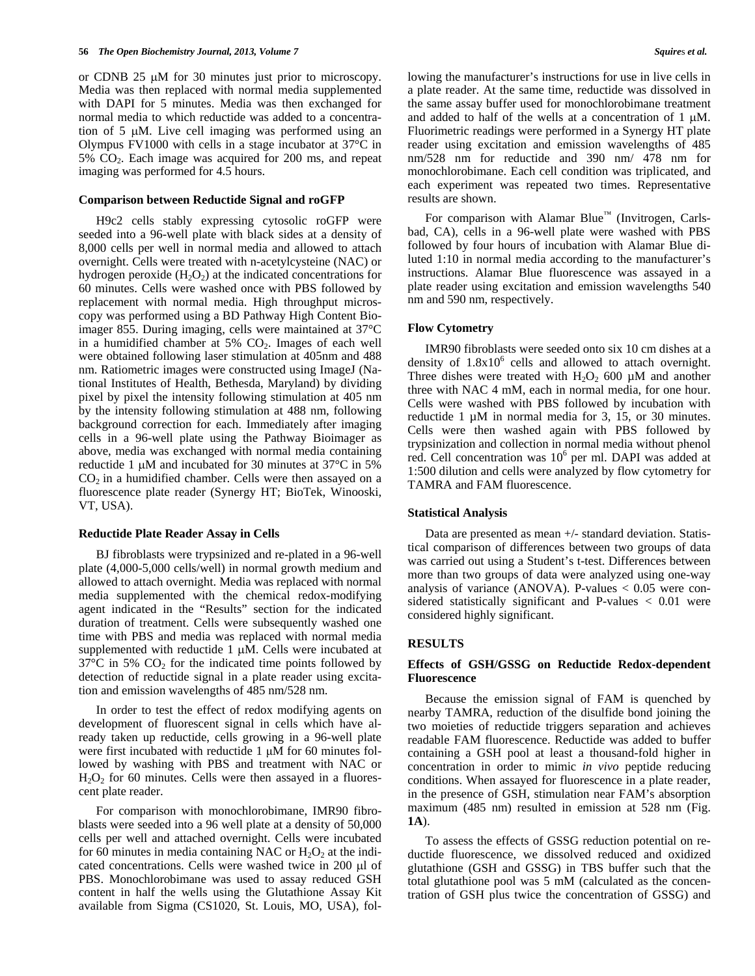or CDNB  $25 \mu M$  for 30 minutes just prior to microscopy. Media was then replaced with normal media supplemented with DAPI for 5 minutes. Media was then exchanged for normal media to which reductide was added to a concentration of  $5 \mu M$ . Live cell imaging was performed using an Olympus FV1000 with cells in a stage incubator at 37°C in 5% CO2. Each image was acquired for 200 ms, and repeat imaging was performed for 4.5 hours.

#### **Comparison between Reductide Signal and roGFP**

 H9c2 cells stably expressing cytosolic roGFP were seeded into a 96-well plate with black sides at a density of 8,000 cells per well in normal media and allowed to attach overnight. Cells were treated with n-acetylcysteine (NAC) or hydrogen peroxide  $(H_2O_2)$  at the indicated concentrations for 60 minutes. Cells were washed once with PBS followed by replacement with normal media. High throughput microscopy was performed using a BD Pathway High Content Bioimager 855. During imaging, cells were maintained at 37°C in a humidified chamber at  $5\%$   $CO<sub>2</sub>$ . Images of each well were obtained following laser stimulation at 405nm and 488 nm. Ratiometric images were constructed using ImageJ (National Institutes of Health, Bethesda, Maryland) by dividing pixel by pixel the intensity following stimulation at 405 nm by the intensity following stimulation at 488 nm, following background correction for each. Immediately after imaging cells in a 96-well plate using the Pathway Bioimager as above, media was exchanged with normal media containing reductide 1  $\mu$ M and incubated for 30 minutes at 37 $\degree$ C in 5%  $CO<sub>2</sub>$  in a humidified chamber. Cells were then assayed on a fluorescence plate reader (Synergy HT; BioTek, Winooski, VT, USA).

# **Reductide Plate Reader Assay in Cells**

 BJ fibroblasts were trypsinized and re-plated in a 96-well plate (4,000-5,000 cells/well) in normal growth medium and allowed to attach overnight. Media was replaced with normal media supplemented with the chemical redox-modifying agent indicated in the "Results" section for the indicated duration of treatment. Cells were subsequently washed one time with PBS and media was replaced with normal media supplemented with reductide  $1 \mu M$ . Cells were incubated at  $37^{\circ}$ C in 5% CO<sub>2</sub> for the indicated time points followed by detection of reductide signal in a plate reader using excitation and emission wavelengths of 485 nm/528 nm.

 In order to test the effect of redox modifying agents on development of fluorescent signal in cells which have already taken up reductide, cells growing in a 96-well plate were first incubated with reductide 1 μM for 60 minutes followed by washing with PBS and treatment with NAC or  $H<sub>2</sub>O<sub>2</sub>$  for 60 minutes. Cells were then assayed in a fluorescent plate reader.

 For comparison with monochlorobimane, IMR90 fibroblasts were seeded into a 96 well plate at a density of 50,000 cells per well and attached overnight. Cells were incubated for 60 minutes in media containing NAC or  $H_2O_2$  at the indicated concentrations. Cells were washed twice in  $200 \mu l$  of PBS. Monochlorobimane was used to assay reduced GSH content in half the wells using the Glutathione Assay Kit available from Sigma (CS1020, St. Louis, MO, USA), following the manufacturer's instructions for use in live cells in a plate reader. At the same time, reductide was dissolved in the same assay buffer used for monochlorobimane treatment and added to half of the wells at a concentration of  $1 \mu M$ . Fluorimetric readings were performed in a Synergy HT plate reader using excitation and emission wavelengths of 485 nm/528 nm for reductide and 390 nm/ 478 nm for monochlorobimane. Each cell condition was triplicated, and each experiment was repeated two times. Representative results are shown.

For comparison with Alamar Blue™ (Invitrogen, Carlsbad, CA), cells in a 96-well plate were washed with PBS followed by four hours of incubation with Alamar Blue diluted 1:10 in normal media according to the manufacturer's instructions. Alamar Blue fluorescence was assayed in a plate reader using excitation and emission wavelengths 540 nm and 590 nm, respectively.

#### **Flow Cytometry**

 IMR90 fibroblasts were seeded onto six 10 cm dishes at a density of  $1.8x10^6$  cells and allowed to attach overnight. Three dishes were treated with  $H_2O_2$  600  $\mu$ M and another three with NAC 4 mM, each in normal media, for one hour. Cells were washed with PBS followed by incubation with reductide 1 µM in normal media for 3, 15, or 30 minutes. Cells were then washed again with PBS followed by trypsinization and collection in normal media without phenol red. Cell concentration was  $10^6$  per ml. DAPI was added at 1:500 dilution and cells were analyzed by flow cytometry for TAMRA and FAM fluorescence.

#### **Statistical Analysis**

 Data are presented as mean +/- standard deviation. Statistical comparison of differences between two groups of data was carried out using a Student's t-test. Differences between more than two groups of data were analyzed using one-way analysis of variance (ANOVA). P-values  $< 0.05$  were considered statistically significant and P-values < 0.01 were considered highly significant.

# **RESULTS**

# **Effects of GSH/GSSG on Reductide Redox-dependent Fluorescence**

 Because the emission signal of FAM is quenched by nearby TAMRA, reduction of the disulfide bond joining the two moieties of reductide triggers separation and achieves readable FAM fluorescence. Reductide was added to buffer containing a GSH pool at least a thousand-fold higher in concentration in order to mimic *in vivo* peptide reducing conditions. When assayed for fluorescence in a plate reader, in the presence of GSH, stimulation near FAM's absorption maximum (485 nm) resulted in emission at 528 nm (Fig. **1A**).

 To assess the effects of GSSG reduction potential on reductide fluorescence, we dissolved reduced and oxidized glutathione (GSH and GSSG) in TBS buffer such that the total glutathione pool was 5 mM (calculated as the concentration of GSH plus twice the concentration of GSSG) and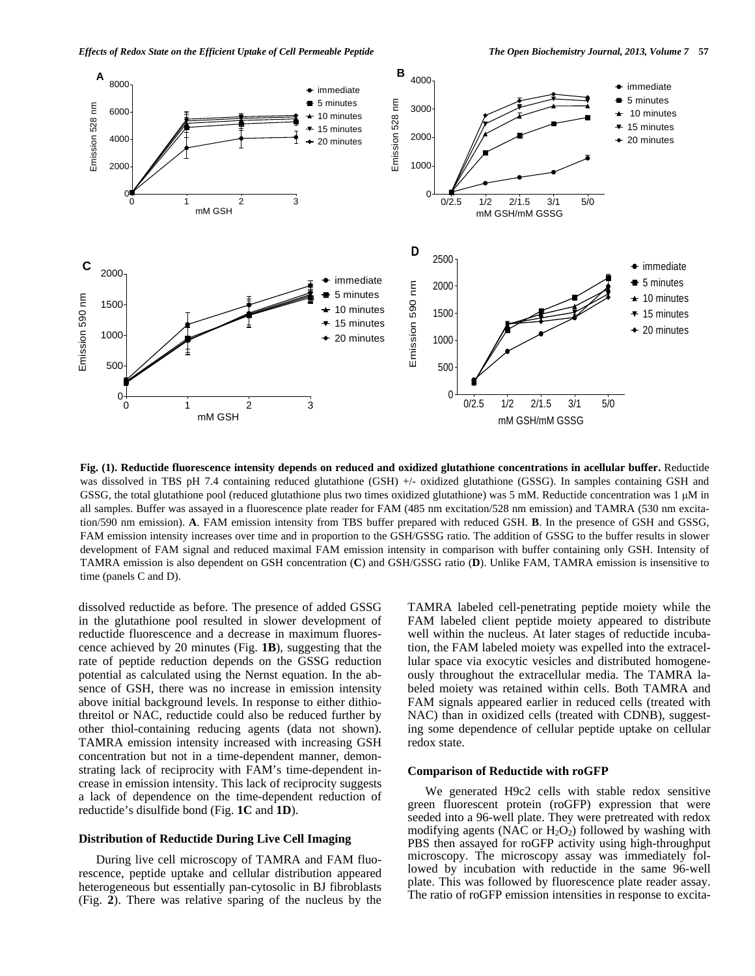

**Fig. (1). Reductide fluorescence intensity depends on reduced and oxidized glutathione concentrations in acellular buffer.** Reductide was dissolved in TBS pH 7.4 containing reduced glutathione (GSH) +/- oxidized glutathione (GSSG). In samples containing GSH and GSSG, the total glutathione pool (reduced glutathione plus two times oxidized glutathione) was 5 mM. Reductide concentration was 1 μM in all samples. Buffer was assayed in a fluorescence plate reader for FAM (485 nm excitation/528 nm emission) and TAMRA (530 nm excitation/590 nm emission). **A**. FAM emission intensity from TBS buffer prepared with reduced GSH. **B**. In the presence of GSH and GSSG, FAM emission intensity increases over time and in proportion to the GSH/GSSG ratio. The addition of GSSG to the buffer results in slower development of FAM signal and reduced maximal FAM emission intensity in comparison with buffer containing only GSH. Intensity of TAMRA emission is also dependent on GSH concentration (**C**) and GSH/GSSG ratio (**D**). Unlike FAM, TAMRA emission is insensitive to time (panels C and D).

dissolved reductide as before. The presence of added GSSG in the glutathione pool resulted in slower development of reductide fluorescence and a decrease in maximum fluorescence achieved by 20 minutes (Fig. **1B**), suggesting that the rate of peptide reduction depends on the GSSG reduction potential as calculated using the Nernst equation. In the absence of GSH, there was no increase in emission intensity above initial background levels. In response to either dithiothreitol or NAC, reductide could also be reduced further by other thiol-containing reducing agents (data not shown). TAMRA emission intensity increased with increasing GSH concentration but not in a time-dependent manner, demonstrating lack of reciprocity with FAM's time-dependent increase in emission intensity. This lack of reciprocity suggests a lack of dependence on the time-dependent reduction of reductide's disulfide bond (Fig. **1C** and **1D**).

# **Distribution of Reductide During Live Cell Imaging**

 During live cell microscopy of TAMRA and FAM fluorescence, peptide uptake and cellular distribution appeared heterogeneous but essentially pan-cytosolic in BJ fibroblasts (Fig. **2**). There was relative sparing of the nucleus by the

TAMRA labeled cell-penetrating peptide moiety while the FAM labeled client peptide moiety appeared to distribute well within the nucleus. At later stages of reductide incubation, the FAM labeled moiety was expelled into the extracellular space via exocytic vesicles and distributed homogeneously throughout the extracellular media. The TAMRA labeled moiety was retained within cells. Both TAMRA and FAM signals appeared earlier in reduced cells (treated with NAC) than in oxidized cells (treated with CDNB), suggesting some dependence of cellular peptide uptake on cellular redox state.

#### **Comparison of Reductide with roGFP**

 We generated H9c2 cells with stable redox sensitive green fluorescent protein (roGFP) expression that were seeded into a 96-well plate. They were pretreated with redox modifying agents (NAC or  $H_2O_2$ ) followed by washing with PBS then assayed for roGFP activity using high-throughput microscopy. The microscopy assay was immediately followed by incubation with reductide in the same 96-well plate. This was followed by fluorescence plate reader assay. The ratio of roGFP emission intensities in response to excita-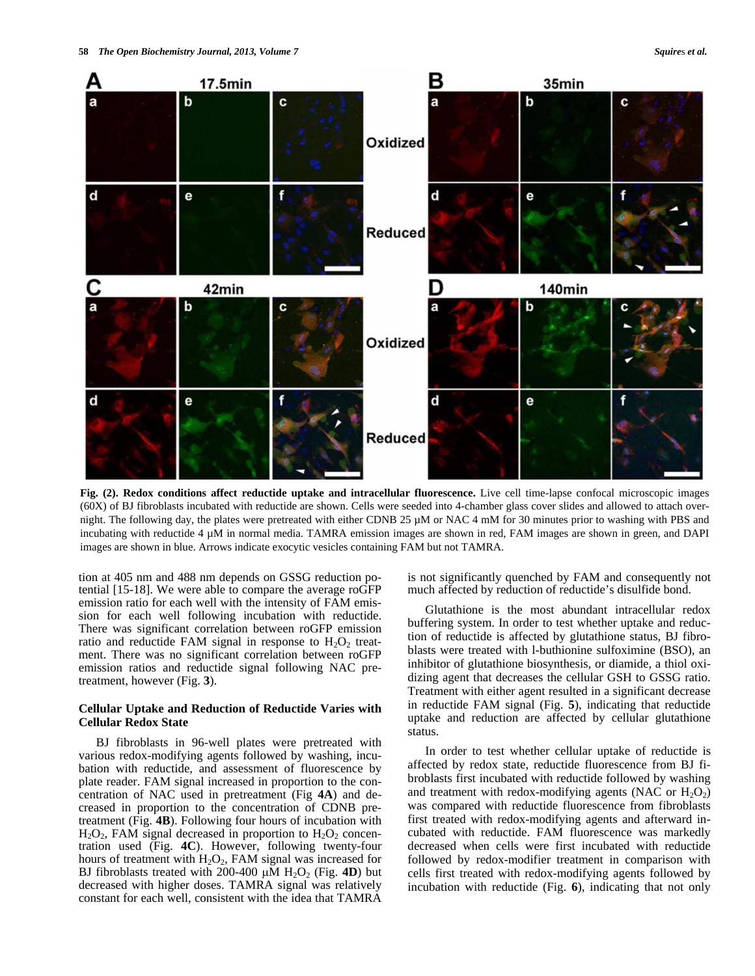

**Fig. (2). Redox conditions affect reductide uptake and intracellular fluorescence.** Live cell time-lapse confocal microscopic images (60X) of BJ fibroblasts incubated with reductide are shown. Cells were seeded into 4-chamber glass cover slides and allowed to attach overnight. The following day, the plates were pretreated with either CDNB 25 µM or NAC 4 mM for 30 minutes prior to washing with PBS and incubating with reductide 4 µM in normal media. TAMRA emission images are shown in red, FAM images are shown in green, and DAPI images are shown in blue. Arrows indicate exocytic vesicles containing FAM but not TAMRA.

tion at 405 nm and 488 nm depends on GSSG reduction potential [15-18]. We were able to compare the average roGFP emission ratio for each well with the intensity of FAM emission for each well following incubation with reductide. There was significant correlation between roGFP emission ratio and reductide FAM signal in response to  $H_2O_2$  treatment. There was no significant correlation between roGFP emission ratios and reductide signal following NAC pretreatment, however (Fig. **3**).

# **Cellular Uptake and Reduction of Reductide Varies with Cellular Redox State**

 BJ fibroblasts in 96-well plates were pretreated with various redox-modifying agents followed by washing, incubation with reductide, and assessment of fluorescence by plate reader. FAM signal increased in proportion to the concentration of NAC used in pretreatment (Fig **4A**) and decreased in proportion to the concentration of CDNB pretreatment (Fig. **4B**). Following four hours of incubation with  $H_2O_2$ , FAM signal decreased in proportion to  $H_2O_2$  concentration used (Fig. **4C**). However, following twenty-four hours of treatment with  $H_2O_2$ , FAM signal was increased for BJ fibroblasts treated with 200-400  $\mu$ M H<sub>2</sub>O<sub>2</sub> (Fig. 4D) but decreased with higher doses. TAMRA signal was relatively constant for each well, consistent with the idea that TAMRA is not significantly quenched by FAM and consequently not much affected by reduction of reductide's disulfide bond.

 Glutathione is the most abundant intracellular redox buffering system. In order to test whether uptake and reduction of reductide is affected by glutathione status, BJ fibroblasts were treated with l-buthionine sulfoximine (BSO), an inhibitor of glutathione biosynthesis, or diamide, a thiol oxidizing agent that decreases the cellular GSH to GSSG ratio. Treatment with either agent resulted in a significant decrease in reductide FAM signal (Fig. **5**), indicating that reductide uptake and reduction are affected by cellular glutathione status.

 In order to test whether cellular uptake of reductide is affected by redox state, reductide fluorescence from BJ fibroblasts first incubated with reductide followed by washing and treatment with redox-modifying agents (NAC or  $H_2O_2$ ) was compared with reductide fluorescence from fibroblasts first treated with redox-modifying agents and afterward incubated with reductide. FAM fluorescence was markedly decreased when cells were first incubated with reductide followed by redox-modifier treatment in comparison with cells first treated with redox-modifying agents followed by incubation with reductide (Fig. **6**), indicating that not only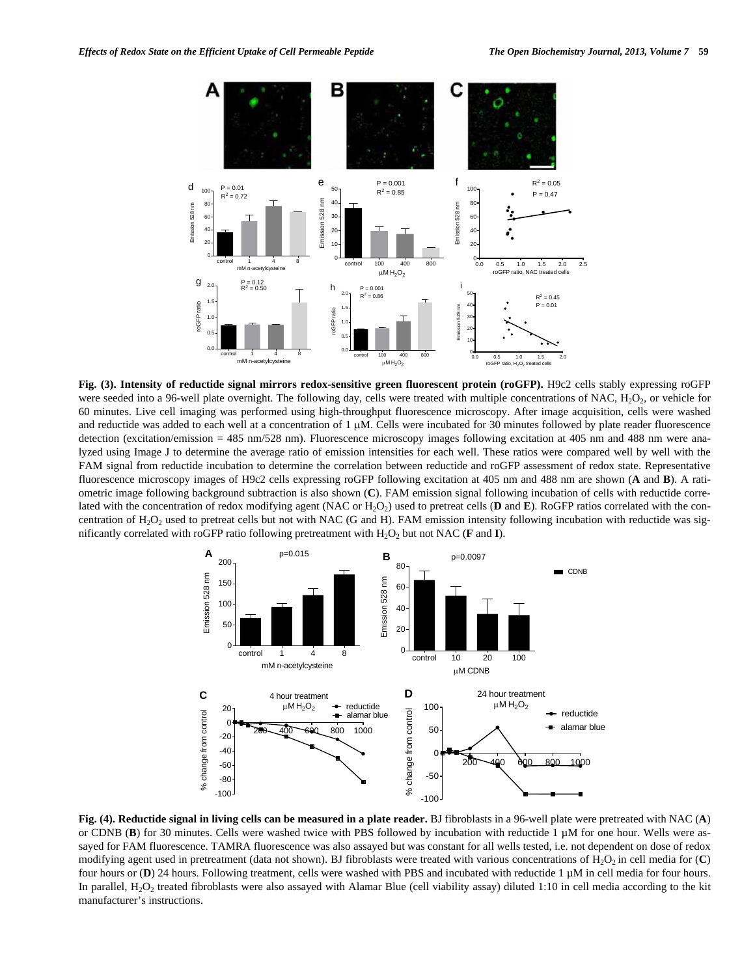

**Fig. (3). Intensity of reductide signal mirrors redox-sensitive green fluorescent protein (roGFP).** H9c2 cells stably expressing roGFP were seeded into a 96-well plate overnight. The following day, cells were treated with multiple concentrations of NAC,  $H_2O_2$ , or vehicle for 60 minutes. Live cell imaging was performed using high-throughput fluorescence microscopy. After image acquisition, cells were washed and reductide was added to each well at a concentration of  $1 \mu$ M. Cells were incubated for 30 minutes followed by plate reader fluorescence detection (excitation/emission = 485 nm/528 nm). Fluorescence microscopy images following excitation at 405 nm and 488 nm were analyzed using Image J to determine the average ratio of emission intensities for each well. These ratios were compared well by well with the FAM signal from reductide incubation to determine the correlation between reductide and roGFP assessment of redox state. Representative fluorescence microscopy images of H9c2 cells expressing roGFP following excitation at 405 nm and 488 nm are shown (**A** and **B**). A ratiometric image following background subtraction is also shown (**C**). FAM emission signal following incubation of cells with reductide correlated with the concentration of redox modifying agent (NAC or H<sub>2</sub>O<sub>2</sub>) used to pretreat cells (**D** and **E**). RoGFP ratios correlated with the concentration of  $H_2O_2$  used to pretreat cells but not with NAC (G and H). FAM emission intensity following incubation with reductide was significantly correlated with roGFP ratio following pretreatment with  $H_2O_2$  but not NAC (**F** and **I**).



**Fig. (4). Reductide signal in living cells can be measured in a plate reader.** BJ fibroblasts in a 96-well plate were pretreated with NAC (**A**) or CDNB (**B**) for 30 minutes. Cells were washed twice with PBS followed by incubation with reductide 1 µM for one hour. Wells were assayed for FAM fluorescence. TAMRA fluorescence was also assayed but was constant for all wells tested, i.e. not dependent on dose of redox modifying agent used in pretreatment (data not shown). BJ fibroblasts were treated with various concentrations of  $H_2O_2$  in cell media for  $(C)$ four hours or (**D**) 24 hours. Following treatment, cells were washed with PBS and incubated with reductide 1 µM in cell media for four hours. In parallel, H<sub>2</sub>O<sub>2</sub> treated fibroblasts were also assayed with Alamar Blue (cell viability assay) diluted 1:10 in cell media according to the kit manufacturer's instructions.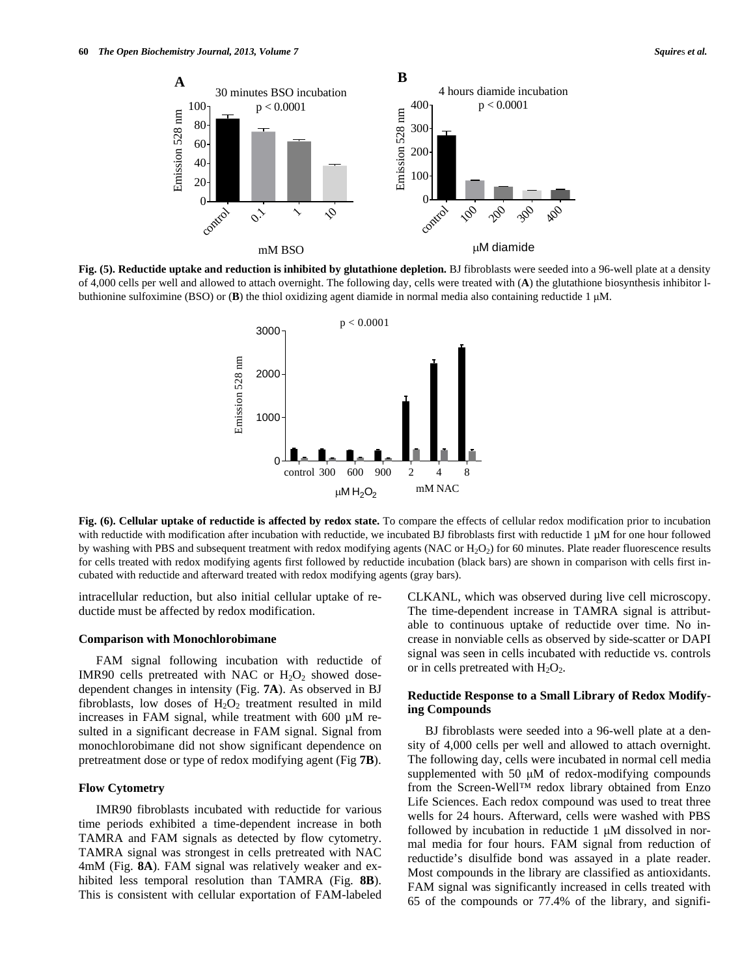

**Fig. (5). Reductide uptake and reduction is inhibited by glutathione depletion.** BJ fibroblasts were seeded into a 96-well plate at a density of 4,000 cells per well and allowed to attach overnight. The following day, cells were treated with (**A**) the glutathione biosynthesis inhibitor lbuthionine sulfoximine (BSO) or (**B**) the thiol oxidizing agent diamide in normal media also containing reductide 1 μM.



**Fig. (6). Cellular uptake of reductide is affected by redox state.** To compare the effects of cellular redox modification prior to incubation with reductide with modification after incubation with reductide, we incubated BJ fibroblasts first with reductide 1 µM for one hour followed by washing with PBS and subsequent treatment with redox modifying agents (NAC or  $H_2O_2$ ) for 60 minutes. Plate reader fluorescence results for cells treated with redox modifying agents first followed by reductide incubation (black bars) are shown in comparison with cells first incubated with reductide and afterward treated with redox modifying agents (gray bars).

intracellular reduction, but also initial cellular uptake of reductide must be affected by redox modification.

#### **Comparison with Monochlorobimane**

 FAM signal following incubation with reductide of IMR90 cells pretreated with NAC or  $H_2O_2$  showed dosedependent changes in intensity (Fig. **7A**). As observed in BJ fibroblasts, low doses of  $H_2O_2$  treatment resulted in mild increases in FAM signal, while treatment with 600 µM resulted in a significant decrease in FAM signal. Signal from monochlorobimane did not show significant dependence on pretreatment dose or type of redox modifying agent (Fig **7B**).

# **Flow Cytometry**

 IMR90 fibroblasts incubated with reductide for various time periods exhibited a time-dependent increase in both TAMRA and FAM signals as detected by flow cytometry. TAMRA signal was strongest in cells pretreated with NAC 4mM (Fig. **8A**). FAM signal was relatively weaker and exhibited less temporal resolution than TAMRA (Fig. **8B**). This is consistent with cellular exportation of FAM-labeled CLKANL, which was observed during live cell microscopy. The time-dependent increase in TAMRA signal is attributable to continuous uptake of reductide over time. No increase in nonviable cells as observed by side-scatter or DAPI signal was seen in cells incubated with reductide vs. controls or in cells pretreated with  $H_2O_2$ .

# **Reductide Response to a Small Library of Redox Modifying Compounds**

 BJ fibroblasts were seeded into a 96-well plate at a density of 4,000 cells per well and allowed to attach overnight. The following day, cells were incubated in normal cell media supplemented with 50 μM of redox-modifying compounds from the Screen-Well™ redox library obtained from Enzo Life Sciences. Each redox compound was used to treat three wells for 24 hours. Afterward, cells were washed with PBS followed by incubation in reductide  $1 \mu M$  dissolved in normal media for four hours. FAM signal from reduction of reductide's disulfide bond was assayed in a plate reader. Most compounds in the library are classified as antioxidants. FAM signal was significantly increased in cells treated with 65 of the compounds or 77.4% of the library, and signifi-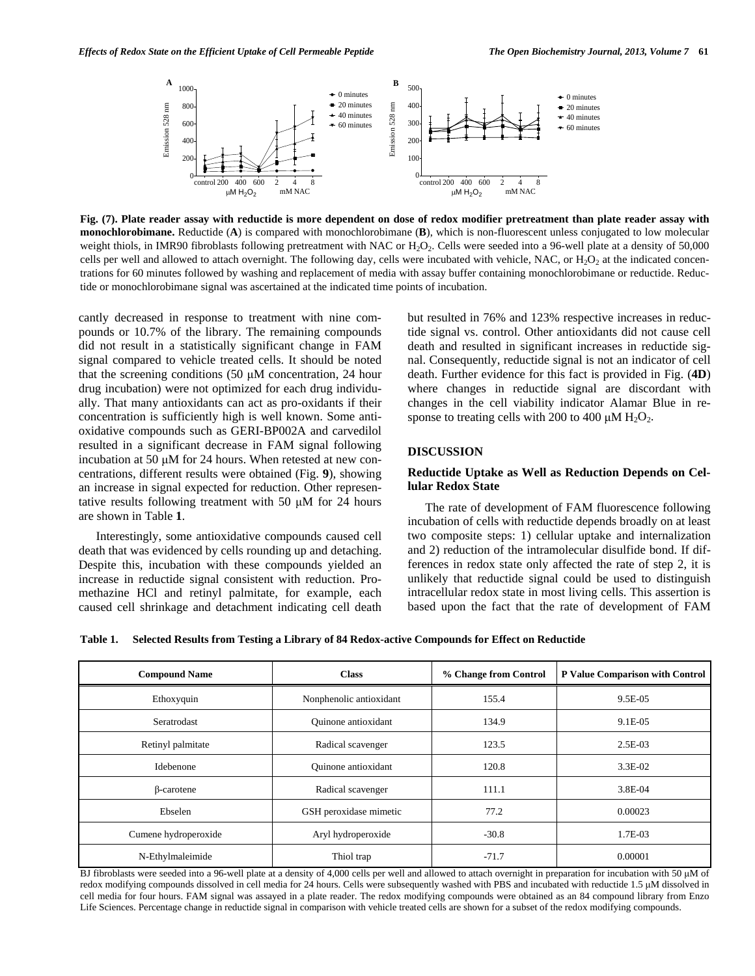

**Fig. (7). Plate reader assay with reductide is more dependent on dose of redox modifier pretreatment than plate reader assay with monochlorobimane.** Reductide (**A**) is compared with monochlorobimane (**B**), which is non-fluorescent unless conjugated to low molecular weight thiols, in IMR90 fibroblasts following pretreatment with NAC or H<sub>2</sub>O<sub>2</sub>. Cells were seeded into a 96-well plate at a density of 50,000 cells per well and allowed to attach overnight. The following day, cells were incubated with vehicle, NAC, or  $H_2O_2$  at the indicated concentrations for 60 minutes followed by washing and replacement of media with assay buffer containing monochlorobimane or reductide. Reductide or monochlorobimane signal was ascertained at the indicated time points of incubation.

#### **DISCUSSION**

# **Reductide Uptake as Well as Reduction Depends on Cellular Redox State**

**Table 1. Selected Results from Testing a Library of 84 Redox-active Compounds for Effect on Reductide** 

| Effects of Redox State on the Efficient Uptake of Cell Permeable Peptide                                                                                                                                                                                                                                                                                                                                                                                                                                                                                                                                                                                                                                                                                                                                                                                                                                       | В                                                                                                                                                    |                                                                                                                                                                                                                                                                                                                                                                                                                                                                                                                                                                                                                                                                                                            | The Open Biochemistry Journal, 2013, Volume 7 61                                                                                                                                                                                                                                                                                                                                                                                                                  |
|----------------------------------------------------------------------------------------------------------------------------------------------------------------------------------------------------------------------------------------------------------------------------------------------------------------------------------------------------------------------------------------------------------------------------------------------------------------------------------------------------------------------------------------------------------------------------------------------------------------------------------------------------------------------------------------------------------------------------------------------------------------------------------------------------------------------------------------------------------------------------------------------------------------|------------------------------------------------------------------------------------------------------------------------------------------------------|------------------------------------------------------------------------------------------------------------------------------------------------------------------------------------------------------------------------------------------------------------------------------------------------------------------------------------------------------------------------------------------------------------------------------------------------------------------------------------------------------------------------------------------------------------------------------------------------------------------------------------------------------------------------------------------------------------|-------------------------------------------------------------------------------------------------------------------------------------------------------------------------------------------------------------------------------------------------------------------------------------------------------------------------------------------------------------------------------------------------------------------------------------------------------------------|
| A<br>1000<br>Emission 528 nm<br>800<br>600<br>400<br>200<br>400 600<br>control 200<br>$\mu$ M H <sub>2</sub> O <sub>2</sub>                                                                                                                                                                                                                                                                                                                                                                                                                                                                                                                                                                                                                                                                                                                                                                                    | $\bullet$ 0 minutes<br>$\div$ 20 minutes<br>Emission 528 nm<br>$\div$ 40 minutes<br>$+60$ minutes<br>$\mathfrak{p}$<br>8<br>$\overline{4}$<br>mM NAC | 500<br>400<br>300<br>200<br>100<br>control 200 400 600<br>2<br>8<br>mM NAC<br>$\mu$ M H <sub>2</sub> O <sub>2</sub>                                                                                                                                                                                                                                                                                                                                                                                                                                                                                                                                                                                        | $\bullet$ 0 minutes<br>$-20$ minutes<br>$\div$ 40 minutes<br>$+60$ minutes                                                                                                                                                                                                                                                                                                                                                                                        |
| Fig. (7). Plate reader assay with reductide is more dependent on dose of redox modifier pretreatment than plate reader assay with<br>monochlorobimane. Reductide (A) is compared with monochlorobimane (B), which is non-fluorescent unless conjugated to low molecular<br>weight thiols, in IMR90 fibroblasts following pretreatment with NAC or $H_2O_2$ . Cells were seeded into a 96-well plate at a density of 50,000<br>cells per well and allowed to attach overnight. The following day, cells were incubated with vehicle, NAC, or $H_2O_2$ at the indicated concen-<br>trations for 60 minutes followed by washing and replacement of media with assay buffer containing monochlorobimane or reductide. Reduc-<br>tide or monochlorobimane signal was ascertained at the indicated time points of incubation.                                                                                        |                                                                                                                                                      |                                                                                                                                                                                                                                                                                                                                                                                                                                                                                                                                                                                                                                                                                                            |                                                                                                                                                                                                                                                                                                                                                                                                                                                                   |
| cantly decreased in response to treatment with nine com-<br>pounds or 10.7% of the library. The remaining compounds<br>did not result in a statistically significant change in FAM<br>signal compared to vehicle treated cells. It should be noted<br>that the screening conditions (50 $\mu$ M concentration, 24 hour<br>drug incubation) were not optimized for each drug individu-<br>ally. That many antioxidants can act as pro-oxidants if their<br>concentration is sufficiently high is well known. Some anti-<br>oxidative compounds such as GERI-BP002A and carvedilol<br>resulted in a significant decrease in FAM signal following<br>incubation at 50 µM for 24 hours. When retested at new con-<br>centrations, different results were obtained (Fig. 9), showing<br>an increase in signal expected for reduction. Other represen-<br>tative results following treatment with 50 µM for 24 hours |                                                                                                                                                      | but resulted in 76% and 123% respective increases in reduc-<br>tide signal vs. control. Other antioxidants did not cause cell<br>death and resulted in significant increases in reductide sig-<br>nal. Consequently, reductide signal is not an indicator of cell<br>death. Further evidence for this fact is provided in Fig. (4D)<br>where changes in reductide signal are discordant with<br>changes in the cell viability indicator Alamar Blue in re-<br>sponse to treating cells with 200 to 400 $\mu$ M H <sub>2</sub> O <sub>2</sub> .<br><b>DISCUSSION</b><br>Reductide Uptake as Well as Reduction Depends on Cel-<br>lular Redox State<br>The rate of development of FAM fluorescence following |                                                                                                                                                                                                                                                                                                                                                                                                                                                                   |
| are shown in Table 1.<br>Interestingly, some antioxidative compounds caused cell<br>death that was evidenced by cells rounding up and detaching.<br>Despite this, incubation with these compounds yielded an<br>increase in reductide signal consistent with reduction. Pro-<br>methazine HCl and retinyl palmitate, for example, each<br>caused cell shrinkage and detachment indicating cell death<br>Table 1.                                                                                                                                                                                                                                                                                                                                                                                                                                                                                               |                                                                                                                                                      | Selected Results from Testing a Library of 84 Redox-active Compounds for Effect on Reductide                                                                                                                                                                                                                                                                                                                                                                                                                                                                                                                                                                                                               | incubation of cells with reductide depends broadly on at least<br>two composite steps: 1) cellular uptake and internalization<br>and 2) reduction of the intramolecular disulfide bond. If dif-<br>ferences in redox state only affected the rate of step 2, it is<br>unlikely that reductide signal could be used to distinguish<br>intracellular redox state in most living cells. This assertion is<br>based upon the fact that the rate of development of FAM |
| <b>Compound Name</b>                                                                                                                                                                                                                                                                                                                                                                                                                                                                                                                                                                                                                                                                                                                                                                                                                                                                                           | <b>Class</b>                                                                                                                                         | % Change from Control                                                                                                                                                                                                                                                                                                                                                                                                                                                                                                                                                                                                                                                                                      | P Value Comparison with Control                                                                                                                                                                                                                                                                                                                                                                                                                                   |
| Ethoxyquin                                                                                                                                                                                                                                                                                                                                                                                                                                                                                                                                                                                                                                                                                                                                                                                                                                                                                                     | Nonphenolic antioxidant                                                                                                                              | 155.4                                                                                                                                                                                                                                                                                                                                                                                                                                                                                                                                                                                                                                                                                                      | 9.5E-05                                                                                                                                                                                                                                                                                                                                                                                                                                                           |
| Seratrodast                                                                                                                                                                                                                                                                                                                                                                                                                                                                                                                                                                                                                                                                                                                                                                                                                                                                                                    | Quinone antioxidant                                                                                                                                  | 134.9                                                                                                                                                                                                                                                                                                                                                                                                                                                                                                                                                                                                                                                                                                      | 9.1E-05                                                                                                                                                                                                                                                                                                                                                                                                                                                           |
| Retinyl palmitate                                                                                                                                                                                                                                                                                                                                                                                                                                                                                                                                                                                                                                                                                                                                                                                                                                                                                              | Radical scavenger                                                                                                                                    | 123.5                                                                                                                                                                                                                                                                                                                                                                                                                                                                                                                                                                                                                                                                                                      | 2.5E-03                                                                                                                                                                                                                                                                                                                                                                                                                                                           |
| Idebenone                                                                                                                                                                                                                                                                                                                                                                                                                                                                                                                                                                                                                                                                                                                                                                                                                                                                                                      | Quinone antioxidant                                                                                                                                  | 120.8                                                                                                                                                                                                                                                                                                                                                                                                                                                                                                                                                                                                                                                                                                      | 3.3E-02                                                                                                                                                                                                                                                                                                                                                                                                                                                           |
| $\beta$ -carotene                                                                                                                                                                                                                                                                                                                                                                                                                                                                                                                                                                                                                                                                                                                                                                                                                                                                                              | Radical scavenger                                                                                                                                    | 111.1                                                                                                                                                                                                                                                                                                                                                                                                                                                                                                                                                                                                                                                                                                      | 3.8E-04                                                                                                                                                                                                                                                                                                                                                                                                                                                           |
| Ebselen                                                                                                                                                                                                                                                                                                                                                                                                                                                                                                                                                                                                                                                                                                                                                                                                                                                                                                        | GSH peroxidase mimetic                                                                                                                               | 77.2                                                                                                                                                                                                                                                                                                                                                                                                                                                                                                                                                                                                                                                                                                       | 0.00023                                                                                                                                                                                                                                                                                                                                                                                                                                                           |
| Cumene hydroperoxide                                                                                                                                                                                                                                                                                                                                                                                                                                                                                                                                                                                                                                                                                                                                                                                                                                                                                           | Aryl hydroperoxide                                                                                                                                   | $-30.8$                                                                                                                                                                                                                                                                                                                                                                                                                                                                                                                                                                                                                                                                                                    | 1.7E-03                                                                                                                                                                                                                                                                                                                                                                                                                                                           |
| N-Ethylmaleimide                                                                                                                                                                                                                                                                                                                                                                                                                                                                                                                                                                                                                                                                                                                                                                                                                                                                                               | Thiol trap                                                                                                                                           | $-71.7$                                                                                                                                                                                                                                                                                                                                                                                                                                                                                                                                                                                                                                                                                                    | 0.00001                                                                                                                                                                                                                                                                                                                                                                                                                                                           |
| BJ fibroblasts were seeded into a 96-well plate at a density of 4,000 cells per well and allowed to attach overnight in preparation for incubation with 50 µM of<br>redox modifying compounds dissolved in cell media for 24 hours. Cells were subsequently washed with PBS and incubated with reductide 1.5 µM dissolved in<br>cell media for four hours. FAM signal was assayed in a plate reader. The redox modifying compounds were obtained as an 84 compound library from Enzo<br>Life Sciences. Percentage change in reductide signal in comparison with vehicle treated cells are shown for a subset of the redox modifying compounds.                                                                                                                                                                                                                                                                 |                                                                                                                                                      |                                                                                                                                                                                                                                                                                                                                                                                                                                                                                                                                                                                                                                                                                                            |                                                                                                                                                                                                                                                                                                                                                                                                                                                                   |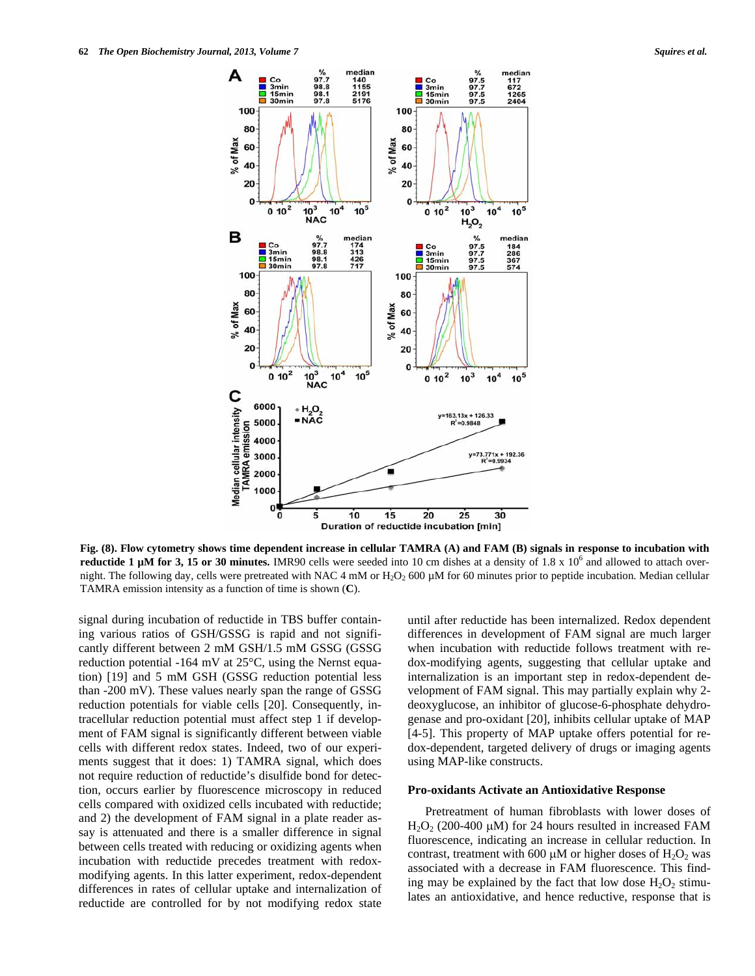

**Fig. (8). Flow cytometry shows time dependent increase in cellular TAMRA (A) and FAM (B) signals in response to incubation with reductide 1 µM for 3, 15 or 30 minutes.** IMR90 cells were seeded into 10 cm dishes at a density of 1.8 x  $10^6$  and allowed to attach overnight. The following day, cells were pretreated with NAC 4 mM or  $H_2O_2$  600  $\mu$ M for 60 minutes prior to peptide incubation. Median cellular TAMRA emission intensity as a function of time is shown (**C**).

signal during incubation of reductide in TBS buffer containing various ratios of GSH/GSSG is rapid and not significantly different between 2 mM GSH/1.5 mM GSSG (GSSG reduction potential -164 mV at 25°C, using the Nernst equation) [19] and 5 mM GSH (GSSG reduction potential less than -200 mV). These values nearly span the range of GSSG reduction potentials for viable cells [20]. Consequently, intracellular reduction potential must affect step 1 if development of FAM signal is significantly different between viable cells with different redox states. Indeed, two of our experiments suggest that it does: 1) TAMRA signal, which does not require reduction of reductide's disulfide bond for detection, occurs earlier by fluorescence microscopy in reduced cells compared with oxidized cells incubated with reductide; and 2) the development of FAM signal in a plate reader assay is attenuated and there is a smaller difference in signal between cells treated with reducing or oxidizing agents when incubation with reductide precedes treatment with redoxmodifying agents. In this latter experiment, redox-dependent differences in rates of cellular uptake and internalization of reductide are controlled for by not modifying redox state

until after reductide has been internalized. Redox dependent differences in development of FAM signal are much larger when incubation with reductide follows treatment with redox-modifying agents, suggesting that cellular uptake and internalization is an important step in redox-dependent development of FAM signal. This may partially explain why 2 deoxyglucose, an inhibitor of glucose-6-phosphate dehydrogenase and pro-oxidant [20], inhibits cellular uptake of MAP [4-5]. This property of MAP uptake offers potential for redox-dependent, targeted delivery of drugs or imaging agents using MAP-like constructs.

#### **Pro-oxidants Activate an Antioxidative Response**

 Pretreatment of human fibroblasts with lower doses of  $H<sub>2</sub>O<sub>2</sub>$  (200-400 µM) for 24 hours resulted in increased FAM fluorescence, indicating an increase in cellular reduction. In contrast, treatment with 600  $\mu$ M or higher doses of H<sub>2</sub>O<sub>2</sub> was associated with a decrease in FAM fluorescence. This finding may be explained by the fact that low dose  $H_2O_2$  stimulates an antioxidative, and hence reductive, response that is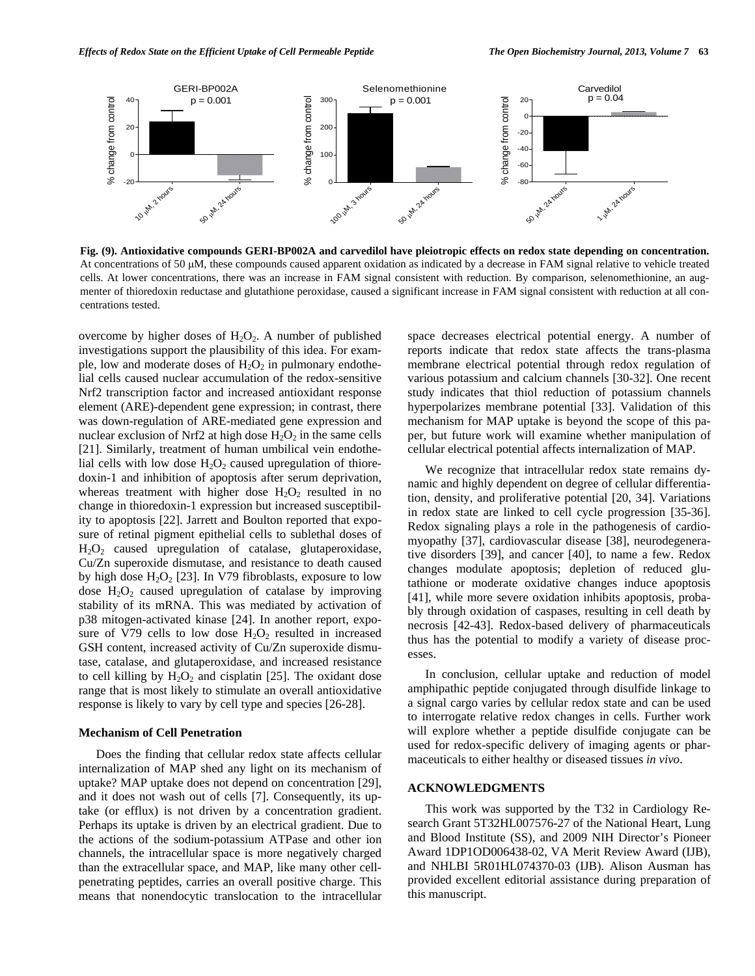

**Fig. (9). Antioxidative compounds GERI-BP002A and carvedilol have pleiotropic effects on redox state depending on concentration.** At concentrations of 50 μM, these compounds caused apparent oxidation as indicated by a decrease in FAM signal relative to vehicle treated cells. At lower concentrations, there was an increase in FAM signal consistent with reduction. By comparison, selenomethionine, an augmenter of thioredoxin reductase and glutathione peroxidase, caused a significant increase in FAM signal consistent with reduction at all concentrations tested.

overcome by higher doses of  $H_2O_2$ . A number of published investigations support the plausibility of this idea. For example, low and moderate doses of  $H_2O_2$  in pulmonary endothelial cells caused nuclear accumulation of the redox-sensitive Nrf2 transcription factor and increased antioxidant response element (ARE)-dependent gene expression; in contrast, there was down-regulation of ARE-mediated gene expression and nuclear exclusion of Nrf2 at high dose  $H_2O_2$  in the same cells [21]. Similarly, treatment of human umbilical vein endothelial cells with low dose  $H_2O_2$  caused upregulation of thioredoxin-1 and inhibition of apoptosis after serum deprivation, whereas treatment with higher dose  $H_2O_2$  resulted in no change in thioredoxin-1 expression but increased susceptibility to apoptosis [22]. Jarrett and Boulton reported that exposure of retinal pigment epithelial cells to sublethal doses of  $H<sub>2</sub>O<sub>2</sub>$  caused upregulation of catalase, glutaperoxidase, Cu/Zn superoxide dismutase, and resistance to death caused by high dose  $H_2O_2$  [23]. In V79 fibroblasts, exposure to low dose  $H_2O_2$  caused upregulation of catalase by improving stability of its mRNA. This was mediated by activation of p38 mitogen-activated kinase [24]. In another report, exposure of V79 cells to low dose  $H_2O_2$  resulted in increased GSH content, increased activity of Cu/Zn superoxide dismutase, catalase, and glutaperoxidase, and increased resistance to cell killing by  $H_2O_2$  and cisplatin [25]. The oxidant dose range that is most likely to stimulate an overall antioxidative response is likely to vary by cell type and species [26-28].

# **Mechanism of Cell Penetration**

 Does the finding that cellular redox state affects cellular internalization of MAP shed any light on its mechanism of uptake? MAP uptake does not depend on concentration [29], and it does not wash out of cells [7]. Consequently, its uptake (or efflux) is not driven by a concentration gradient. Perhaps its uptake is driven by an electrical gradient. Due to the actions of the sodium-potassium ATPase and other ion channels, the intracellular space is more negatively charged than the extracellular space, and MAP, like many other cellpenetrating peptides, carries an overall positive charge. This means that nonendocytic translocation to the intracellular space decreases electrical potential energy. A number of reports indicate that redox state affects the trans-plasma membrane electrical potential through redox regulation of various potassium and calcium channels [30-32]. One recent study indicates that thiol reduction of potassium channels hyperpolarizes membrane potential [33]. Validation of this mechanism for MAP uptake is beyond the scope of this paper, but future work will examine whether manipulation of cellular electrical potential affects internalization of MAP.

 We recognize that intracellular redox state remains dynamic and highly dependent on degree of cellular differentiation, density, and proliferative potential [20, 34]. Variations in redox state are linked to cell cycle progression [35-36]. Redox signaling plays a role in the pathogenesis of cardiomyopathy [37], cardiovascular disease [38], neurodegenerative disorders [39], and cancer [40], to name a few. Redox changes modulate apoptosis; depletion of reduced glutathione or moderate oxidative changes induce apoptosis [41], while more severe oxidation inhibits apoptosis, probably through oxidation of caspases, resulting in cell death by necrosis [42-43]. Redox-based delivery of pharmaceuticals thus has the potential to modify a variety of disease processes.

 In conclusion, cellular uptake and reduction of model amphipathic peptide conjugated through disulfide linkage to a signal cargo varies by cellular redox state and can be used to interrogate relative redox changes in cells. Further work will explore whether a peptide disulfide conjugate can be used for redox-specific delivery of imaging agents or pharmaceuticals to either healthy or diseased tissues *in vivo*.

# **ACKNOWLEDGMENTS**

 This work was supported by the T32 in Cardiology Research Grant 5T32HL007576-27 of the National Heart, Lung and Blood Institute (SS), and 2009 NIH Director's Pioneer Award 1DP1OD006438-02, VA Merit Review Award (IJB), and NHLBI 5R01HL074370-03 (IJB). Alison Ausman has provided excellent editorial assistance during preparation of this manuscript.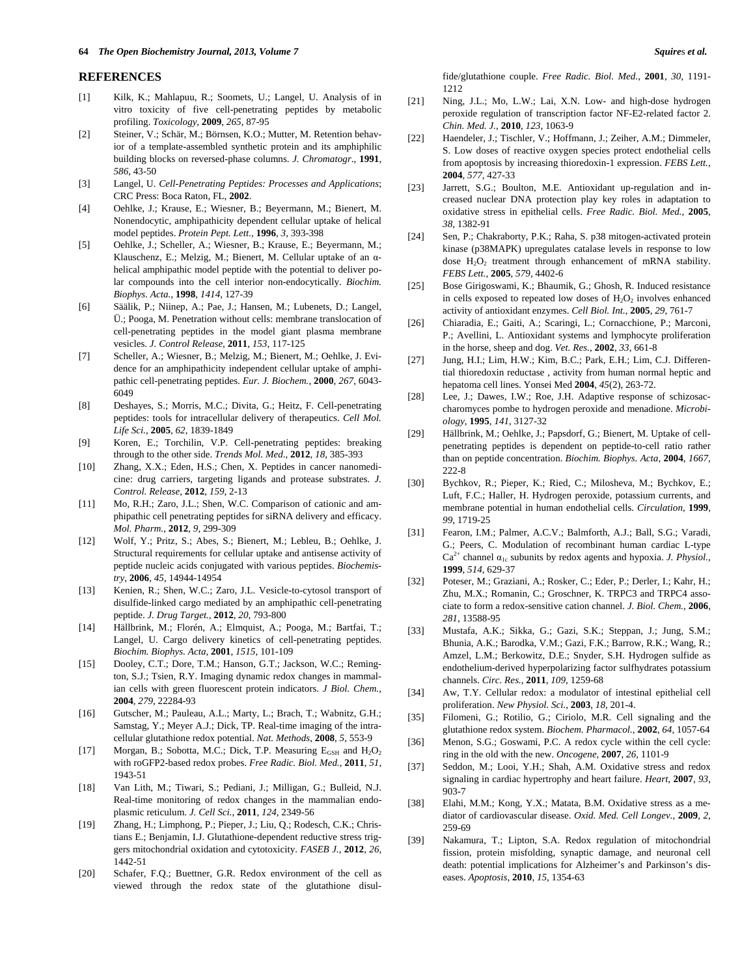#### **REFERENCES**

- [1] Kilk, K.; Mahlapuu, R.; Soomets, U.; Langel, U. Analysis of in vitro toxicity of five cell-penetrating peptides by metabolic profiling. *Toxicology*, **2009**, *265*, 87-95
- [2] Steiner, V.; Schär, M.; Börnsen, K.O.; Mutter, M. Retention behavior of a template-assembled synthetic protein and its amphiphilic building blocks on reversed-phase columns. *J. Chromatogr*., **1991**, *586*, 43-50
- [3] Langel, U. *Cell-Penetrating Peptides: Processes and Applications*; CRC Press: Boca Raton, FL, **2002**.
- [4] Oehlke, J.; Krause, E.; Wiesner, B.; Beyermann, M.; Bienert, M. Nonendocytic, amphipathicity dependent cellular uptake of helical model peptides. *Protein Pept. Lett.*, **1996**, *3*, 393-398
- [5] Oehlke, J.; Scheller, A.; Wiesner, B.; Krause, E.; Beyermann, M.; Klauschenz, E.; Melzig, M.; Bienert, M. Cellular uptake of an αhelical amphipathic model peptide with the potential to deliver polar compounds into the cell interior non-endocytically. *Biochim. Biophys. Acta.*, **1998**, *1414*, 127-39
- [6] Säälik, P.; Niinep, A.; Pae, J.; Hansen, M.; Lubenets, D.; Langel, Ü.; Pooga, M. Penetration without cells: membrane translocation of cell-penetrating peptides in the model giant plasma membrane vesicles. *J. Control Release*, **2011**, *153*, 117-125
- [7] Scheller, A.; Wiesner, B.; Melzig, M.; Bienert, M.; Oehlke, J. Evidence for an amphipathicity independent cellular uptake of amphipathic cell-penetrating peptides. *Eur. J. Biochem.*, **2000**, *267*, 6043- 6049
- [8] Deshayes, S.; Morris, M.C.; Divita, G.; Heitz, F. Cell-penetrating peptides: tools for intracellular delivery of therapeutics. *Cell Mol. Life Sci.*, **2005**, *62*, 1839-1849
- [9] Koren, E.; Torchilin, V.P. Cell-penetrating peptides: breaking through to the other side. *Trends Mol. Med.*, **2012**, *18*, 385-393
- [10] Zhang, X.X.; Eden, H.S.; Chen, X. Peptides in cancer nanomedicine: drug carriers, targeting ligands and protease substrates. *J. Control. Release*, **2012**, *159*, 2-13
- [11] Mo, R.H.; Zaro, J.L.; Shen, W.C. Comparison of cationic and amphipathic cell penetrating peptides for siRNA delivery and efficacy. *Mol. Pharm.*, **2012**, *9*, 299-309
- [12] Wolf, Y.; Pritz, S.; Abes, S.; Bienert, M.; Lebleu, B.; Oehlke, J. Structural requirements for cellular uptake and antisense activity of peptide nucleic acids conjugated with various peptides. *Biochemistry*, **2006**, *45*, 14944-14954
- [13] Kenien, R.; Shen, W.C.; Zaro, J.L. Vesicle-to-cytosol transport of disulfide-linked cargo mediated by an amphipathic cell-penetrating peptide. *J. Drug Target.*, **2012**, *20*, 793-800
- [14] Hällbrink, M.; Florén, A.; Elmquist, A.; Pooga, M.; Bartfai, T.; Langel, U. Cargo delivery kinetics of cell-penetrating peptides. *Biochim. Biophys. Acta*, **2001**, *1515*, 101-109
- [15] Dooley, C.T.; Dore, T.M.; Hanson, G.T.; Jackson, W.C.; Remington, S.J.; Tsien, R.Y. Imaging dynamic redox changes in mammalian cells with green fluorescent protein indicators. *J Biol. Chem.*, **2004**, *279*, 22284-93
- [16] Gutscher, M.; Pauleau, A.L.; Marty, L.; Brach, T.; Wabnitz, G.H.; Samstag, Y.; Meyer A.J.; Dick, TP. Real-time imaging of the intracellular glutathione redox potential. *Nat. Methods*, **2008**, *5*, 553-9
- [17] Morgan, B.; Sobotta, M.C.; Dick, T.P. Measuring  $E_{GSH}$  and  $H_2O_2$ with roGFP2-based redox probes. *Free Radic. Biol. Med.*, **2011**, *51*, 1943-51
- [18] Van Lith, M.; Tiwari, S.; Pediani, J.; Milligan, G.; Bulleid, N.J. Real-time monitoring of redox changes in the mammalian endoplasmic reticulum. *J. Cell Sci.*, **2011**, *124*, 2349-56
- [19] Zhang, H.; Limphong, P.; Pieper, J.; Liu, Q.; Rodesch, C.K.; Christians E.; Benjamin, I.J. Glutathione-dependent reductive stress triggers mitochondrial oxidation and cytotoxicity. *FASEB J.*, **2012**, *26*, 1442-51
- [20] Schafer, F.Q.; Buettner, G.R. Redox environment of the cell as viewed through the redox state of the glutathione disul-

fide/glutathione couple. *Free Radic. Biol. Med.*, **2001**, *30*, 1191- 1212

- [21] Ning, J.L.; Mo, L.W.; Lai, X.N. Low- and high-dose hydrogen peroxide regulation of transcription factor NF-E2-related factor 2. *Chin. Med. J.*, **2010**, *123*, 1063-9
- [22] Haendeler, J.; Tischler, V.; Hoffmann, J.; Zeiher, A.M.; Dimmeler, S. Low doses of reactive oxygen species protect endothelial cells from apoptosis by increasing thioredoxin-1 expression. *FEBS Lett.*, **2004**, *577*, 427-33
- [23] Jarrett, S.G.; Boulton, M.E. Antioxidant up-regulation and increased nuclear DNA protection play key roles in adaptation to oxidative stress in epithelial cells. *Free Radic. Biol. Med.*, **2005**, *38*, 1382-91
- [24] Sen, P.; Chakraborty, P.K.; Raha, S. p38 mitogen-activated protein kinase (p38MAPK) upregulates catalase levels in response to low dose H<sub>2</sub>O<sub>2</sub> treatment through enhancement of mRNA stability. *FEBS Lett.*, **2005**, *579*, 4402-6
- [25] Bose Girigoswami, K.; Bhaumik, G.; Ghosh, R. Induced resistance in cells exposed to repeated low doses of  $H_2O_2$  involves enhanced activity of antioxidant enzymes. *Cell Biol. Int.*, **2005**, *29*, 761-7
- [26] Chiaradia, E.; Gaiti, A.; Scaringi, L.; Cornacchione, P.; Marconi, P.; Avellini, L. Antioxidant systems and lymphocyte proliferation in the horse, sheep and dog. *Vet. Res.*, **2002**, *33*, 661-8
- [27] Jung, H.I.; Lim, H.W.; Kim, B.C.; Park, E.H.; Lim, C.J. Differential thioredoxin reductase , activity from human normal heptic and hepatoma cell lines. Yonsei Med **2004**, *45*(2), 263-72.
- [28] Lee, J.; Dawes, I.W.; Roe, J.H. Adaptive response of schizosaccharomyces pombe to hydrogen peroxide and menadione. *Microbiology*, **1995**, *141*, 3127-32
- [29] Hällbrink, M.; Oehlke, J.; Papsdorf, G.; Bienert, M. Uptake of cellpenetrating peptides is dependent on peptide-to-cell ratio rather than on peptide concentration. *Biochim. Biophys. Acta*, **2004**, *1667*, 222-8
- [30] Bychkov, R.; Pieper, K.; Ried, C.; Milosheva, M.; Bychkov, E.; Luft, F.C.; Haller, H. Hydrogen peroxide, potassium currents, and membrane potential in human endothelial cells. *Circulation*, **1999**, *99*, 1719-25
- [31] Fearon, I.M.; Palmer, A.C.V.; Balmforth, A.J.; Ball, S.G.; Varadi, G.; Peers, C. Modulation of recombinant human cardiac L-type  $Ca^{2+}$  channel  $\alpha_{1c}$  subunits by redox agents and hypoxia. *J. Physiol.*, **1999**, *514*, 629-37
- [32] Poteser, M.; Graziani, A.; Rosker, C.; Eder, P.; Derler, I.; Kahr, H.; Zhu, M.X.; Romanin, C.; Groschner, K. TRPC3 and TRPC4 associate to form a redox-sensitive cation channel. *J. Biol. Chem.*, **2006**, *281*, 13588-95
- [33] Mustafa, A.K.; Sikka, G.; Gazi, S.K.; Steppan, J.; Jung, S.M.; Bhunia, A.K.; Barodka, V.M.; Gazi, F.K.; Barrow, R.K.; Wang, R.; Amzel, L.M.; Berkowitz, D.E.; Snyder, S.H. Hydrogen sulfide as endothelium-derived hyperpolarizing factor sulfhydrates potassium channels. *Circ. Res.*, **2011**, *109*, 1259-68
- [34] Aw, T.Y. Cellular redox: a modulator of intestinal epithelial cell proliferation. *New Physiol. Sci.*, **2003**, *18*, 201-4.
- [35] Filomeni, G.; Rotilio, G.; Ciriolo, M.R. Cell signaling and the glutathione redox system. *Biochem. Pharmacol.*, **2002**, *64*, 1057-64
- [36] Menon, S.G.; Goswami, P.C. A redox cycle within the cell cycle: ring in the old with the new. *Oncogene*, **2007**, *26*, 1101-9
- [37] Seddon, M.; Looi, Y.H.; Shah, A.M. Oxidative stress and redox signaling in cardiac hypertrophy and heart failure. *Heart*, **2007**, *93*, 903-7
- [38] Elahi, M.M.; Kong, Y.X.; Matata, B.M. Oxidative stress as a mediator of cardiovascular disease. *Oxid. Med. Cell Longev.*, **2009**, *2*, 259-69
- [39] Nakamura, T.; Lipton, S.A. Redox regulation of mitochondrial fission, protein misfolding, synaptic damage, and neuronal cell death: potential implications for Alzheimer's and Parkinson's diseases. *Apoptosis*, **2010**, *15*, 1354-63